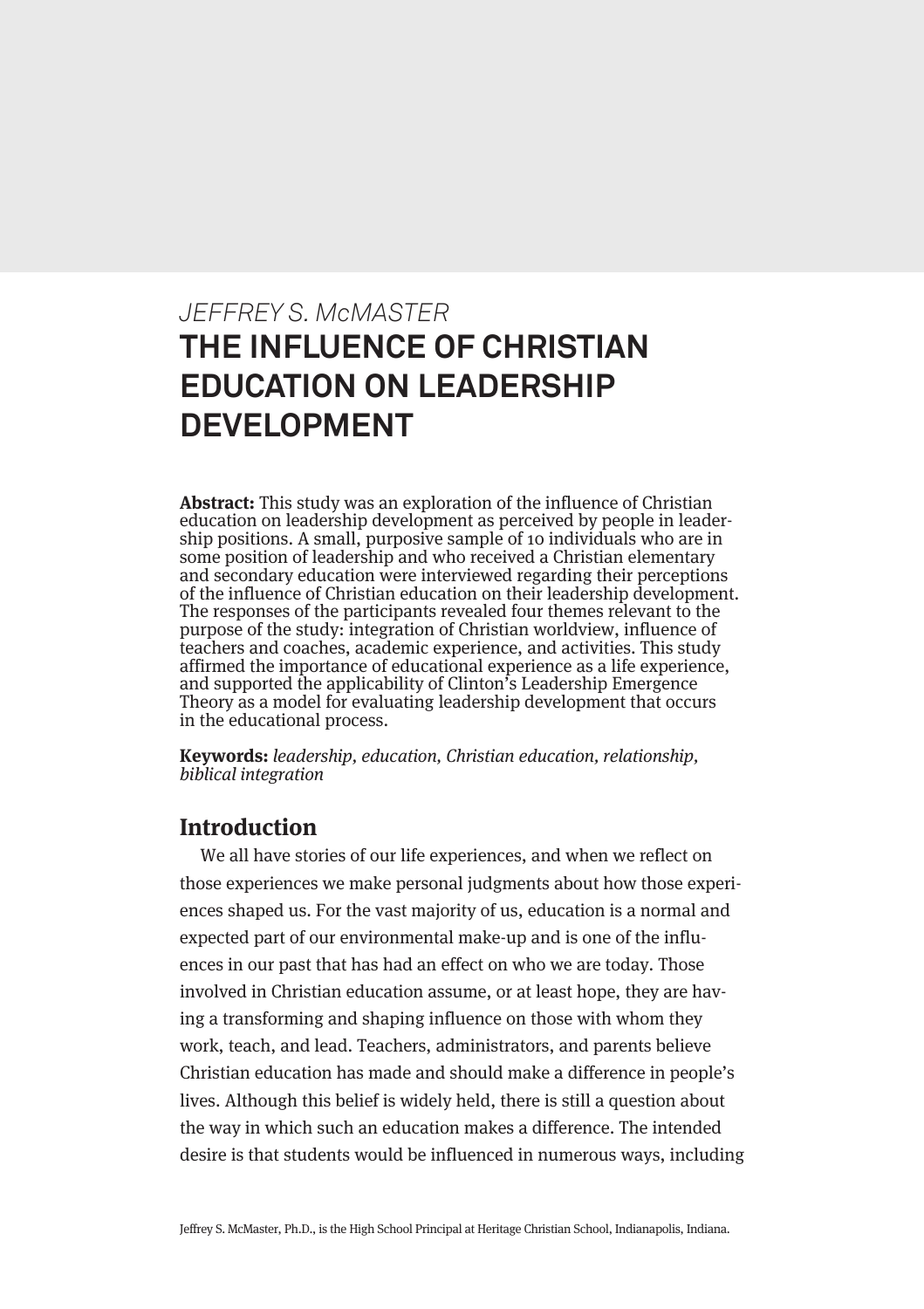# *JEFFREY S. McMASTER* **THE INFLUENCE OF CHRISTIAN EDUCATION ON LEADERSHIP DEVELOPMENT**

**Abstract:** This study was an exploration of the influence of Christian education on leadership development as perceived by people in leadership positions. A small, purposive sample of 10 individuals who are in some position of leadership and who received a Christian elementary and secondary education were interviewed regarding their perceptions of the influence of Christian education on their leadership development. The responses of the participants revealed four themes relevant to the purpose of the study: integration of Christian worldview, influence of teachers and coaches, academic experience, and activities. This study affirmed the importance of educational experience as a life experience, and supported the applicability of Clinton's Leadership Emergence Theory as a model for evaluating leadership development that occurs in the educational process.

**Keywords:** leadership, education, Christian education, relationship, biblical integration

## **Introduction**

We all have stories of our life experiences, and when we reflect on those experiences we make personal judgments about how those experiences shaped us. For the vast majority of us, education is a normal and expected part of our environmental make-up and is one of the influences in our past that has had an effect on who we are today. Those involved in Christian education assume, or at least hope, they are having a transforming and shaping influence on those with whom they work, teach, and lead. Teachers, administrators, and parents believe Christian education has made and should make a difference in people's lives. Although this belief is widely held, there is still a question about the way in which such an education makes a difference. The intended desire is that students would be influenced in numerous ways, including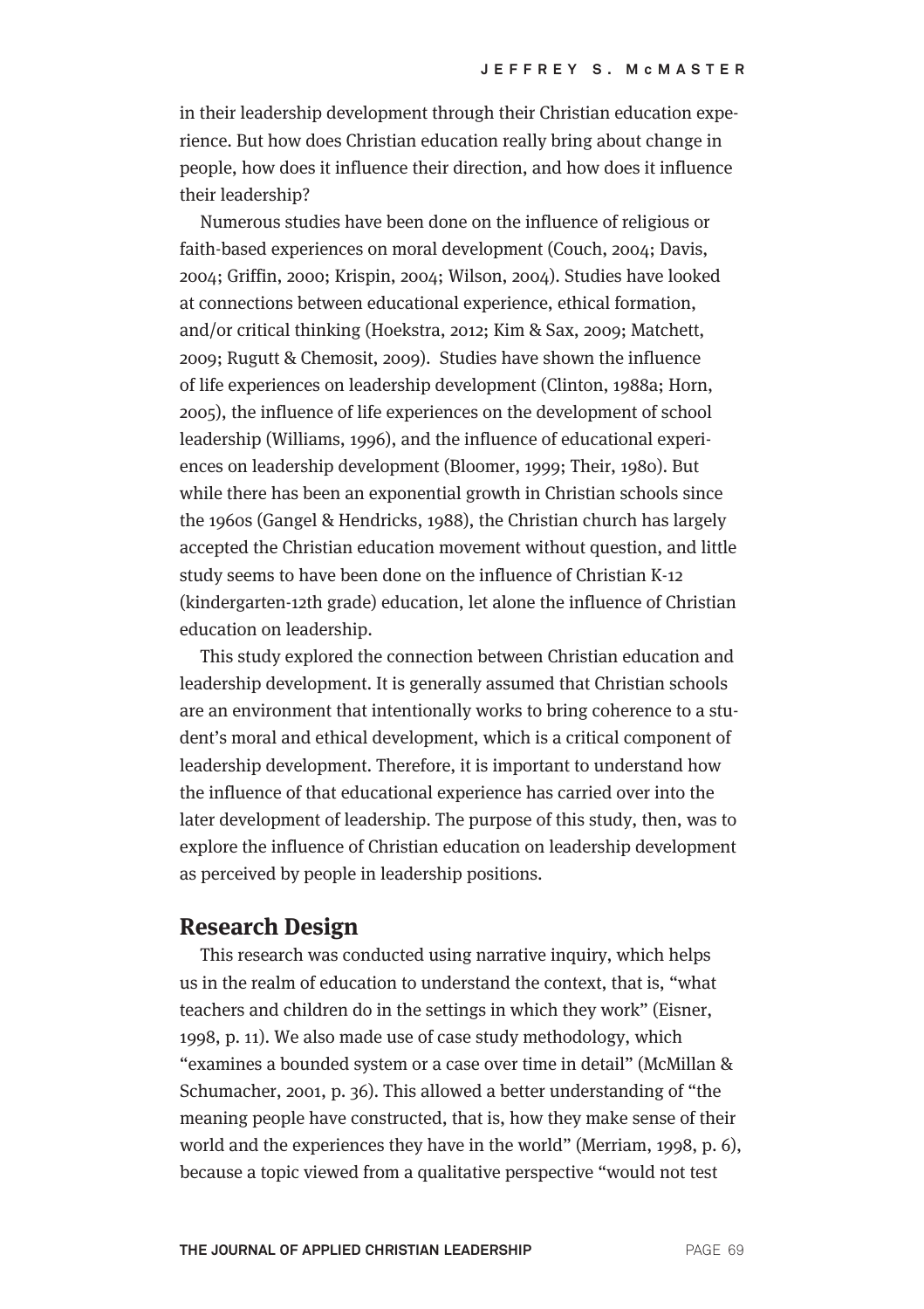in their leadership development through their Christian education experience. But how does Christian education really bring about change in people, how does it influence their direction, and how does it influence their leadership?

Numerous studies have been done on the influence of religious or faith-based experiences on moral development (Couch, 2004; Davis, 2004; Griffin, 2000; Krispin, 2004; Wilson, 2004). Studies have looked at connections between educational experience, ethical formation, and/or critical thinking (Hoekstra, 2012; Kim & Sax, 2009; Matchett, 2009; Rugutt & Chemosit, 2009). Studies have shown the influence of life experiences on leadership development (Clinton, 1988a; Horn, 2005), the influence of life experiences on the development of school leadership (Williams, 1996), and the influence of educational experiences on leadership development (Bloomer, 1999; Their, 1980). But while there has been an exponential growth in Christian schools since the 1960s (Gangel & Hendricks, 1988), the Christian church has largely accepted the Christian education movement without question, and little study seems to have been done on the influence of Christian K-12 (kindergarten-12th grade) education, let alone the influence of Christian education on leadership.

This study explored the connection between Christian education and leadership development. It is generally assumed that Christian schools are an environment that intentionally works to bring coherence to a student's moral and ethical development, which is a critical component of leadership development. Therefore, it is important to understand how the influence of that educational experience has carried over into the later development of leadership. The purpose of this study, then, was to explore the influence of Christian education on leadership development as perceived by people in leadership positions.

#### **Research Design**

This research was conducted using narrative inquiry, which helps us in the realm of education to understand the context, that is, "what teachers and children do in the settings in which they work" (Eisner, 1998, p. 11). We also made use of case study methodology, which "examines a bounded system or a case over time in detail" (McMillan & Schumacher, 2001, p. 36). This allowed a better understanding of "the meaning people have constructed, that is, how they make sense of their world and the experiences they have in the world" (Merriam, 1998, p. 6), because a topic viewed from a qualitative perspective "would not test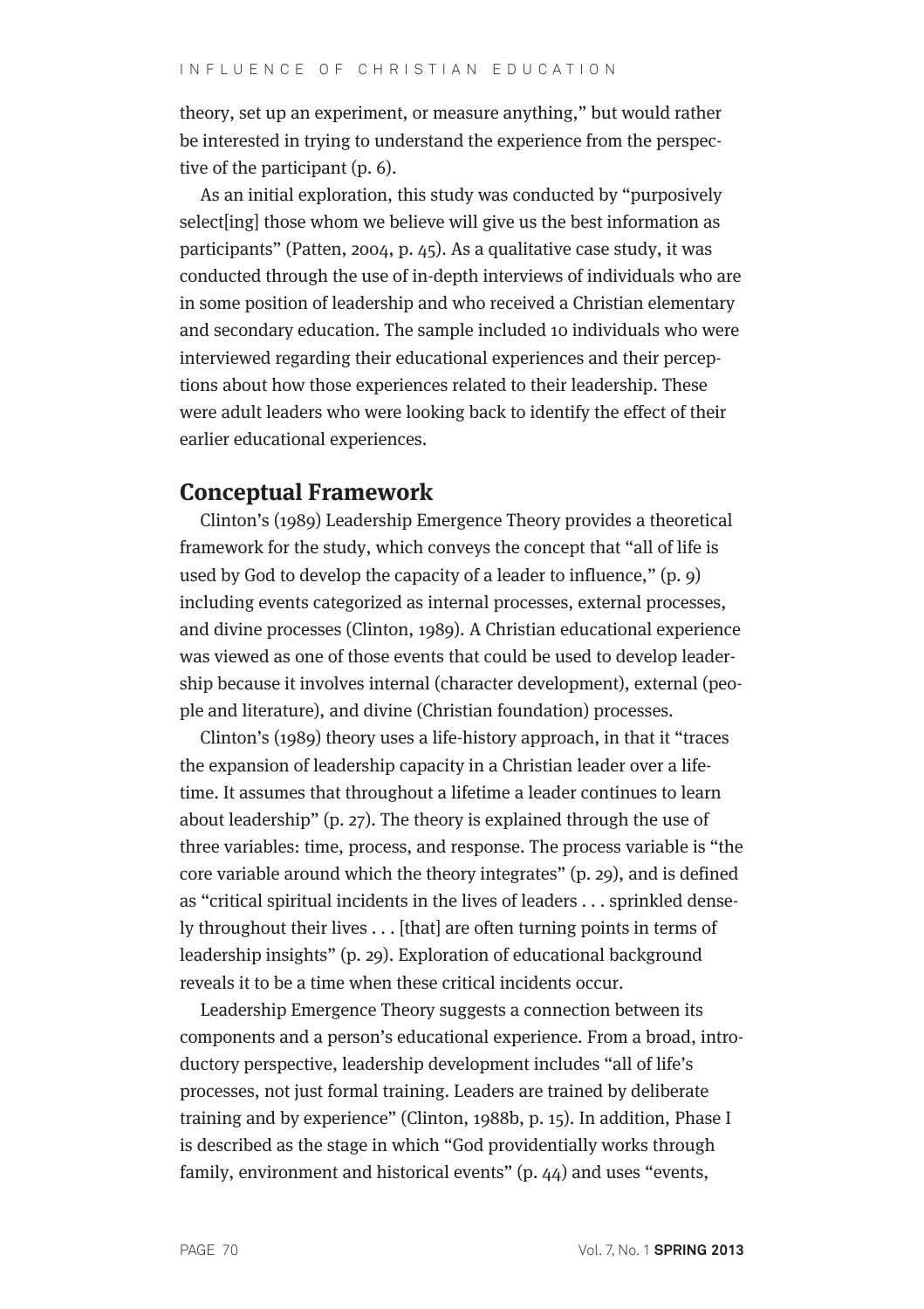theory, set up an experiment, or measure anything," but would rather be interested in trying to understand the experience from the perspective of the participant (p. 6).

As an initial exploration, this study was conducted by "purposively select[ing] those whom we believe will give us the best information as participants" (Patten, 2004, p. 45). As a qualitative case study, it was conducted through the use of in-depth interviews of individuals who are in some position of leadership and who received a Christian elementary and secondary education. The sample included 10 individuals who were interviewed regarding their educational experiences and their perceptions about how those experiences related to their leadership. These were adult leaders who were looking back to identify the effect of their earlier educational experiences.

#### **Conceptual Framework**

Clinton's (1989) Leadership Emergence Theory provides a theoretical framework for the study, which conveys the concept that "all of life is used by God to develop the capacity of a leader to influence," (p. 9) including events categorized as internal processes, external processes, and divine processes (Clinton, 1989). A Christian educational experience was viewed as one of those events that could be used to develop leadership because it involves internal (character development), external (people and literature), and divine (Christian foundation) processes.

Clinton's (1989) theory uses a life-history approach, in that it "traces the expansion of leadership capacity in a Christian leader over a lifetime. It assumes that throughout a lifetime a leader continues to learn about leadership" (p. 27). The theory is explained through the use of three variables: time, process, and response. The process variable is "the core variable around which the theory integrates" (p. 29), and is defined as "critical spiritual incidents in the lives of leaders . . . sprinkled densely throughout their lives . . . [that] are often turning points in terms of leadership insights" (p. 29). Exploration of educational background reveals it to be a time when these critical incidents occur.

Leadership Emergence Theory suggests a connection between its components and a person's educational experience. From a broad, introductory perspective, leadership development includes "all of life's processes, not just formal training. Leaders are trained by deliberate training and by experience" (Clinton, 1988b, p. 15). In addition, Phase I is described as the stage in which "God providentially works through family, environment and historical events" (p. 44) and uses "events,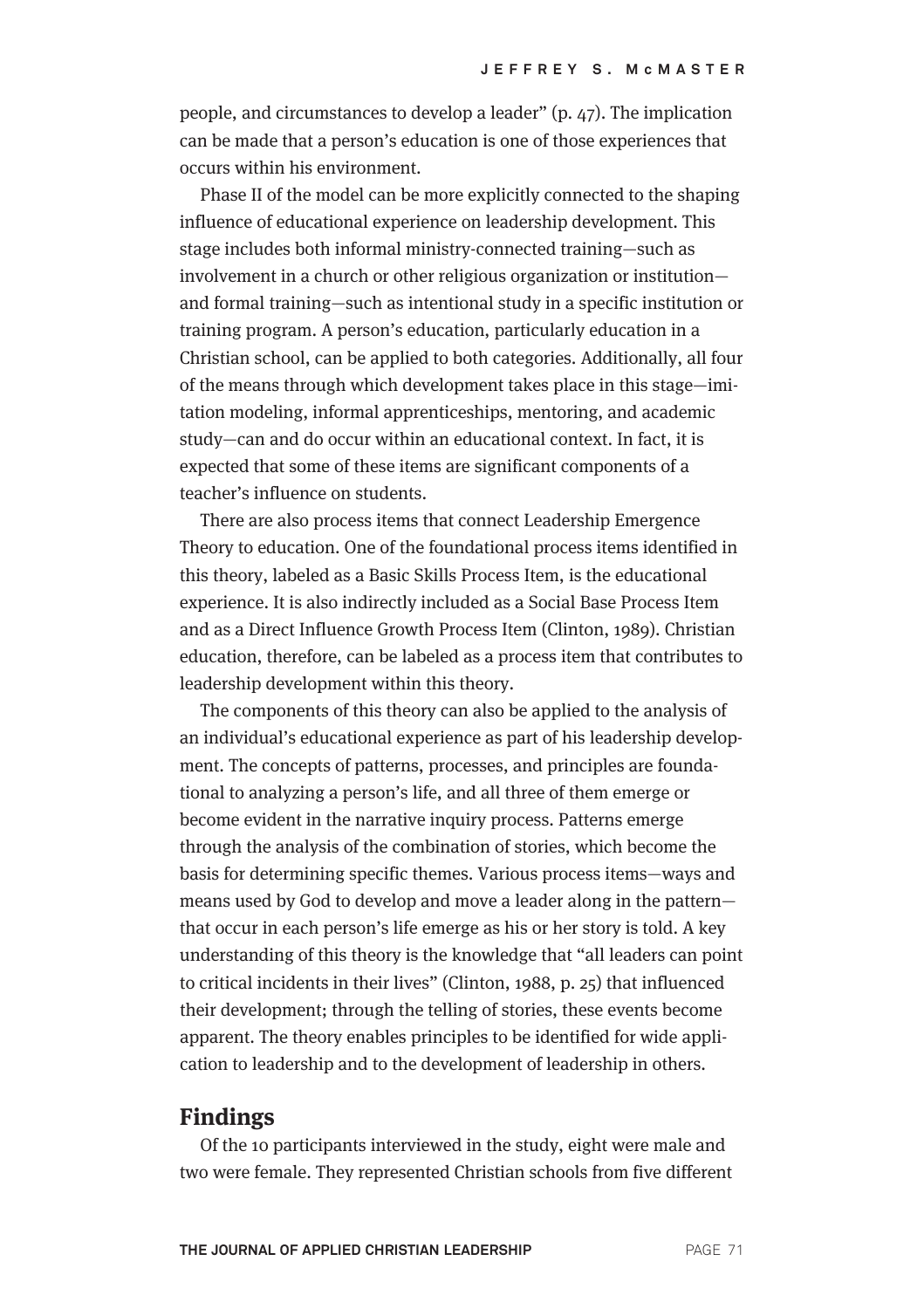people, and circumstances to develop a leader" (p. 47). The implication can be made that a person's education is one of those experiences that occurs within his environment.

Phase II of the model can be more explicitly connected to the shaping influence of educational experience on leadership development. This stage includes both informal ministry-connected training—such as involvement in a church or other religious organization or institution and formal training—such as intentional study in a specific institution or training program. A person's education, particularly education in a Christian school, can be applied to both categories. Additionally, all four of the means through which development takes place in this stage—imitation modeling, informal apprenticeships, mentoring, and academic study—can and do occur within an educational context. In fact, it is expected that some of these items are significant components of a teacher's influence on students.

There are also process items that connect Leadership Emergence Theory to education. One of the foundational process items identified in this theory, labeled as a Basic Skills Process Item, is the educational experience. It is also indirectly included as a Social Base Process Item and as a Direct Influence Growth Process Item (Clinton, 1989). Christian education, therefore, can be labeled as a process item that contributes to leadership development within this theory.

The components of this theory can also be applied to the analysis of an individual's educational experience as part of his leadership development. The concepts of patterns, processes, and principles are foundational to analyzing a person's life, and all three of them emerge or become evident in the narrative inquiry process. Patterns emerge through the analysis of the combination of stories, which become the basis for determining specific themes. Various process items—ways and means used by God to develop and move a leader along in the pattern that occur in each person's life emerge as his or her story is told. A key understanding of this theory is the knowledge that "all leaders can point to critical incidents in their lives" (Clinton, 1988, p. 25) that influenced their development; through the telling of stories, these events become apparent. The theory enables principles to be identified for wide application to leadership and to the development of leadership in others.

#### **Findings**

Of the 10 participants interviewed in the study, eight were male and two were female. They represented Christian schools from five different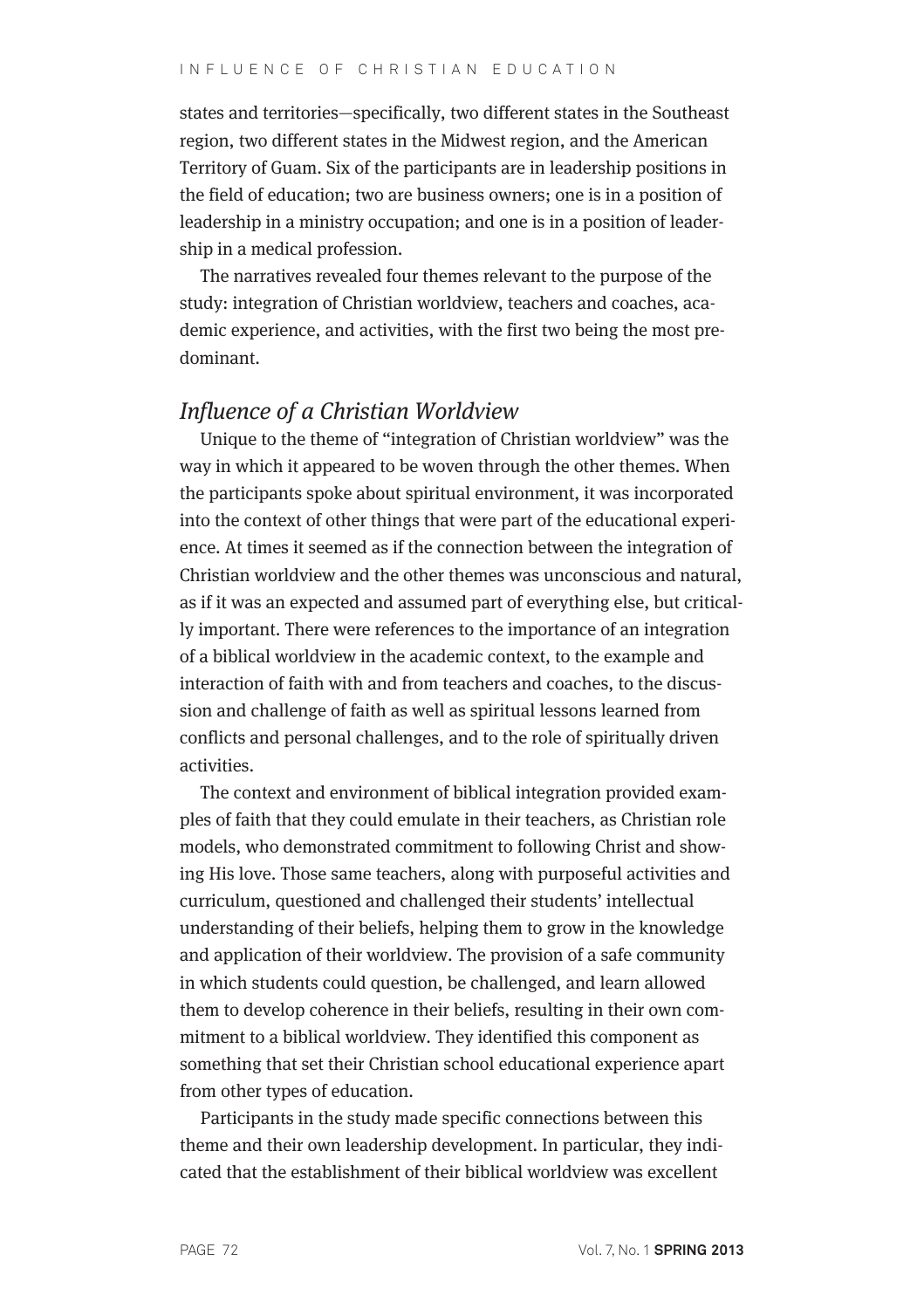#### IN FLUENCE OF CHRISTIAN EDUCATION

states and territories—specifically, two different states in the Southeast region, two different states in the Midwest region, and the American Territory of Guam. Six of the participants are in leadership positions in the field of education; two are business owners; one is in a position of leadership in a ministry occupation; and one is in a position of leadership in a medical profession.

The narratives revealed four themes relevant to the purpose of the study: integration of Christian worldview, teachers and coaches, academic experience, and activities, with the first two being the most predominant.

### Influence of a Christian Worldview

Unique to the theme of "integration of Christian worldview" was the way in which it appeared to be woven through the other themes. When the participants spoke about spiritual environment, it was incorporated into the context of other things that were part of the educational experience. At times it seemed as if the connection between the integration of Christian worldview and the other themes was unconscious and natural, as if it was an expected and assumed part of everything else, but critically important. There were references to the importance of an integration of a biblical worldview in the academic context, to the example and interaction of faith with and from teachers and coaches, to the discussion and challenge of faith as well as spiritual lessons learned from conflicts and personal challenges, and to the role of spiritually driven activities.

The context and environment of biblical integration provided examples of faith that they could emulate in their teachers, as Christian role models, who demonstrated commitment to following Christ and showing His love. Those same teachers, along with purposeful activities and curriculum, questioned and challenged their students' intellectual understanding of their beliefs, helping them to grow in the knowledge and application of their worldview. The provision of a safe community in which students could question, be challenged, and learn allowed them to develop coherence in their beliefs, resulting in their own commitment to a biblical worldview. They identified this component as something that set their Christian school educational experience apart from other types of education.

Participants in the study made specific connections between this theme and their own leadership development. In particular, they indicated that the establishment of their biblical worldview was excellent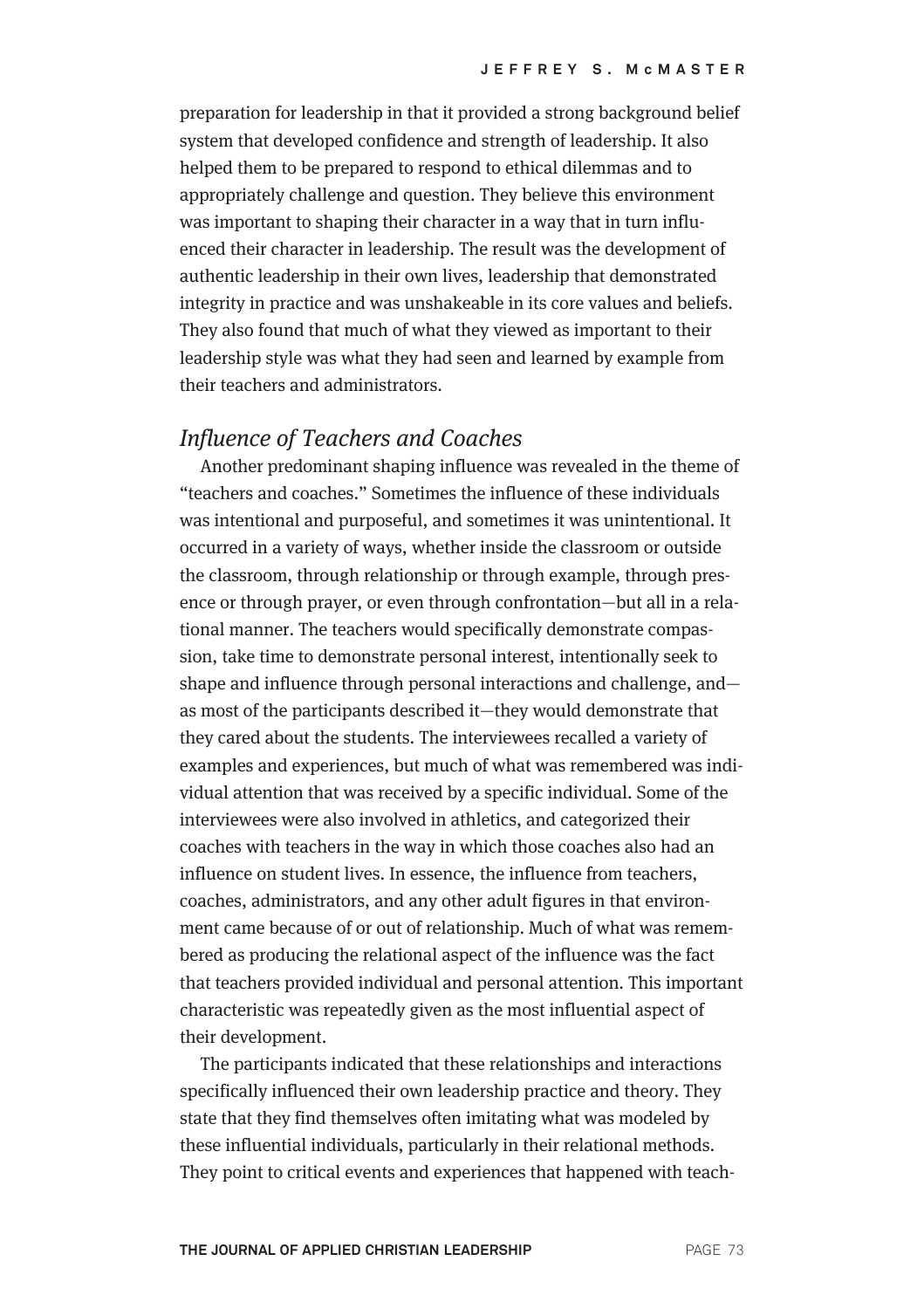preparation for leadership in that it provided a strong background belief system that developed confidence and strength of leadership. It also helped them to be prepared to respond to ethical dilemmas and to appropriately challenge and question. They believe this environment was important to shaping their character in a way that in turn influenced their character in leadership. The result was the development of authentic leadership in their own lives, leadership that demonstrated integrity in practice and was unshakeable in its core values and beliefs. They also found that much of what they viewed as important to their leadership style was what they had seen and learned by example from their teachers and administrators.

#### Influence of Teachers and Coaches

Another predominant shaping influence was revealed in the theme of "teachers and coaches." Sometimes the influence of these individuals was intentional and purposeful, and sometimes it was unintentional. It occurred in a variety of ways, whether inside the classroom or outside the classroom, through relationship or through example, through presence or through prayer, or even through confrontation—but all in a relational manner. The teachers would specifically demonstrate compassion, take time to demonstrate personal interest, intentionally seek to shape and influence through personal interactions and challenge, and as most of the participants described it—they would demonstrate that they cared about the students. The interviewees recalled a variety of examples and experiences, but much of what was remembered was individual attention that was received by a specific individual. Some of the interviewees were also involved in athletics, and categorized their coaches with teachers in the way in which those coaches also had an influence on student lives. In essence, the influence from teachers, coaches, administrators, and any other adult figures in that environment came because of or out of relationship. Much of what was remembered as producing the relational aspect of the influence was the fact that teachers provided individual and personal attention. This important characteristic was repeatedly given as the most influential aspect of their development.

The participants indicated that these relationships and interactions specifically influenced their own leadership practice and theory. They state that they find themselves often imitating what was modeled by these influential individuals, particularly in their relational methods. They point to critical events and experiences that happened with teach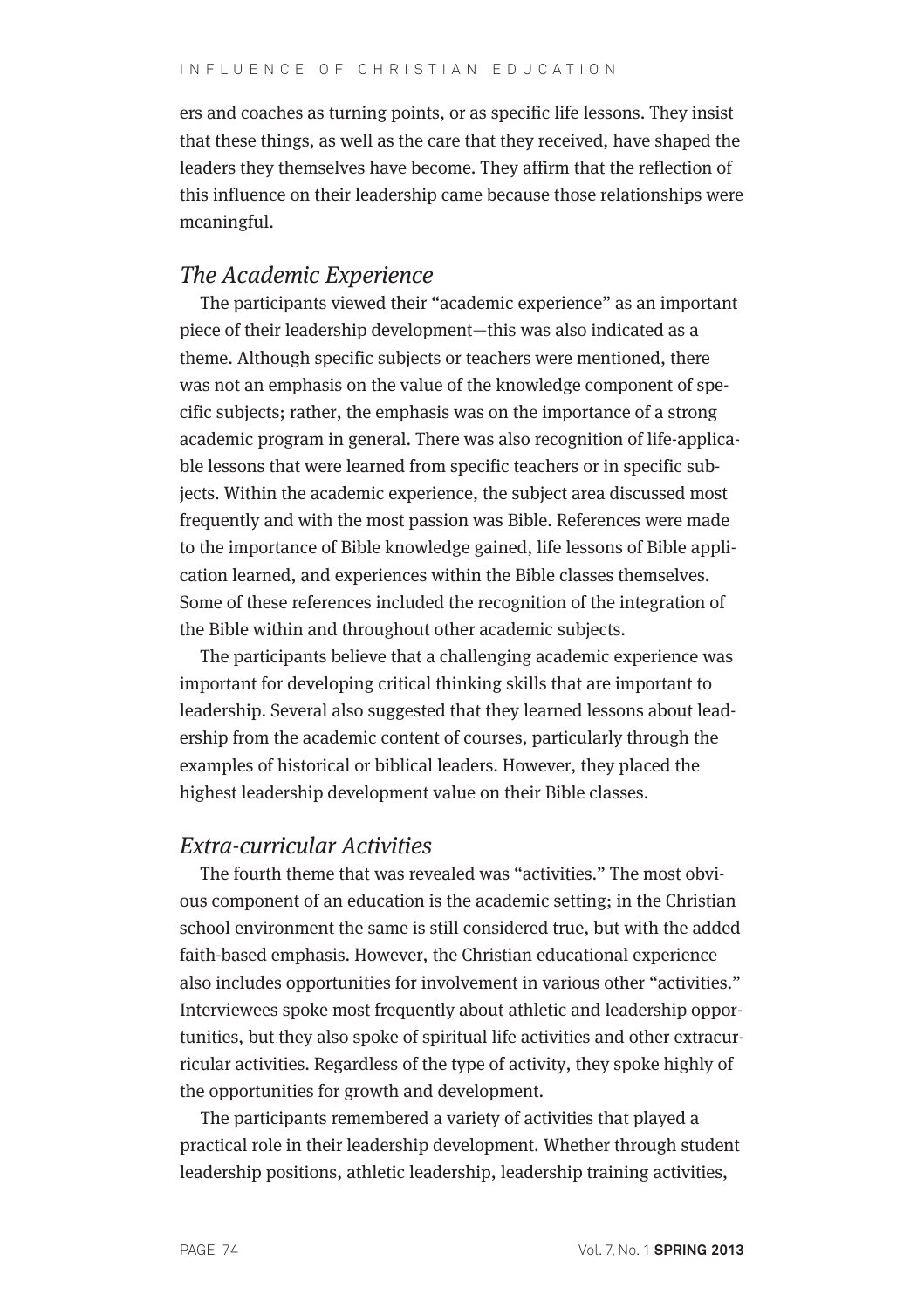ers and coaches as turning points, or as specific life lessons. They insist that these things, as well as the care that they received, have shaped the leaders they themselves have become. They affirm that the reflection of this influence on their leadership came because those relationships were meaningful.

### The Academic Experience

The participants viewed their "academic experience" as an important piece of their leadership development—this was also indicated as a theme. Although specific subjects or teachers were mentioned, there was not an emphasis on the value of the knowledge component of specific subjects; rather, the emphasis was on the importance of a strong academic program in general. There was also recognition of life-applicable lessons that were learned from specific teachers or in specific subjects. Within the academic experience, the subject area discussed most frequently and with the most passion was Bible. References were made to the importance of Bible knowledge gained, life lessons of Bible application learned, and experiences within the Bible classes themselves. Some of these references included the recognition of the integration of the Bible within and throughout other academic subjects.

The participants believe that a challenging academic experience was important for developing critical thinking skills that are important to leadership. Several also suggested that they learned lessons about leadership from the academic content of courses, particularly through the examples of historical or biblical leaders. However, they placed the highest leadership development value on their Bible classes.

#### Extra-curricular Activities

The fourth theme that was revealed was "activities." The most obvious component of an education is the academic setting; in the Christian school environment the same is still considered true, but with the added faith-based emphasis. However, the Christian educational experience also includes opportunities for involvement in various other "activities." Interviewees spoke most frequently about athletic and leadership opportunities, but they also spoke of spiritual life activities and other extracurricular activities. Regardless of the type of activity, they spoke highly of the opportunities for growth and development.

The participants remembered a variety of activities that played a practical role in their leadership development. Whether through student leadership positions, athletic leadership, leadership training activities,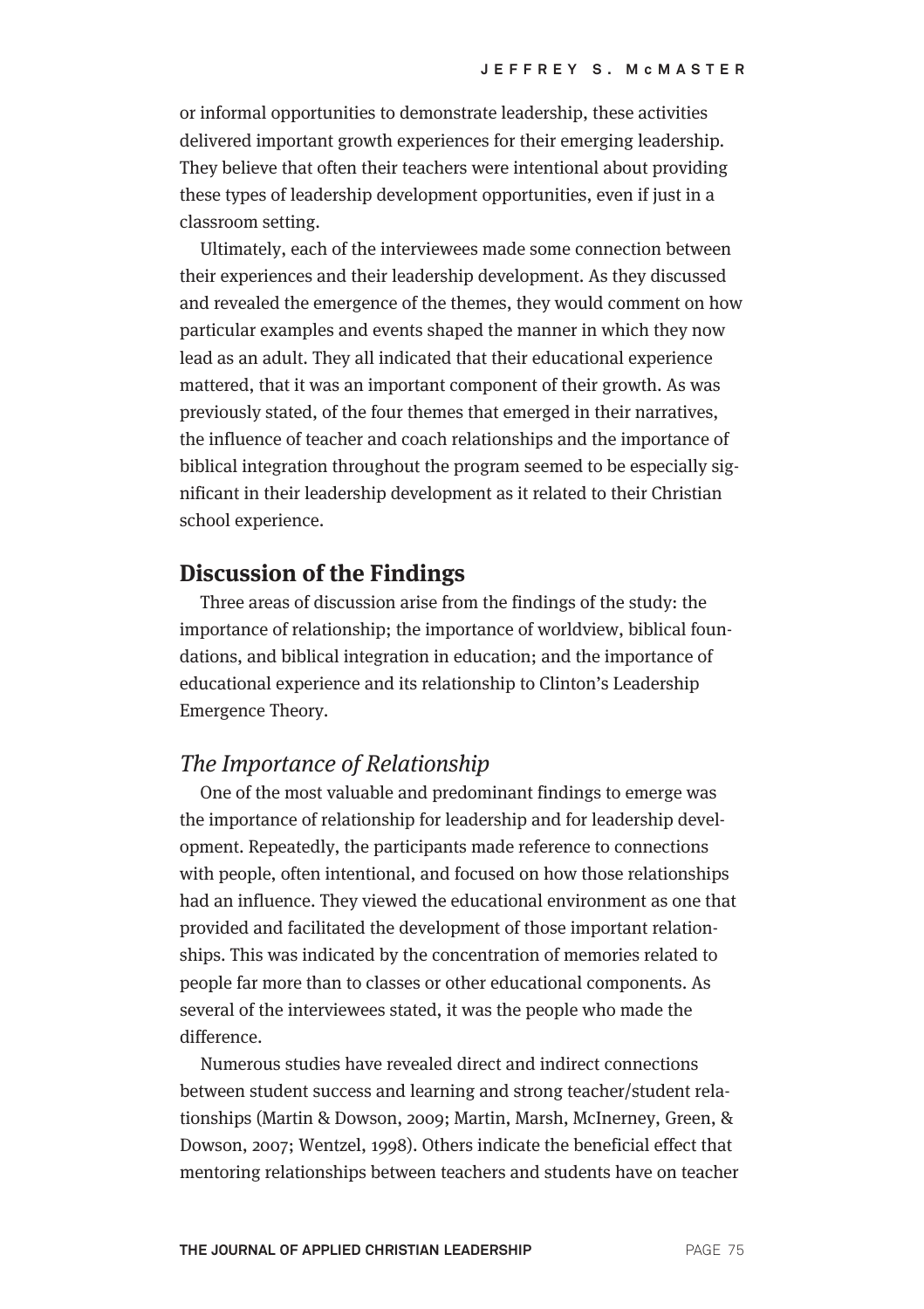or informal opportunities to demonstrate leadership, these activities delivered important growth experiences for their emerging leadership. They believe that often their teachers were intentional about providing these types of leadership development opportunities, even if just in a classroom setting.

Ultimately, each of the interviewees made some connection between their experiences and their leadership development. As they discussed and revealed the emergence of the themes, they would comment on how particular examples and events shaped the manner in which they now lead as an adult. They all indicated that their educational experience mattered, that it was an important component of their growth. As was previously stated, of the four themes that emerged in their narratives, the influence of teacher and coach relationships and the importance of biblical integration throughout the program seemed to be especially significant in their leadership development as it related to their Christian school experience.

## **Discussion of the Findings**

Three areas of discussion arise from the findings of the study: the importance of relationship; the importance of worldview, biblical foundations, and biblical integration in education; and the importance of educational experience and its relationship to Clinton's Leadership Emergence Theory.

#### The Importance of Relationship

One of the most valuable and predominant findings to emerge was the importance of relationship for leadership and for leadership development. Repeatedly, the participants made reference to connections with people, often intentional, and focused on how those relationships had an influence. They viewed the educational environment as one that provided and facilitated the development of those important relationships. This was indicated by the concentration of memories related to people far more than to classes or other educational components. As several of the interviewees stated, it was the people who made the difference.

Numerous studies have revealed direct and indirect connections between student success and learning and strong teacher/student relationships (Martin & Dowson, 2009; Martin, Marsh, McInerney, Green, & Dowson, 2007; Wentzel, 1998). Others indicate the beneficial effect that mentoring relationships between teachers and students have on teacher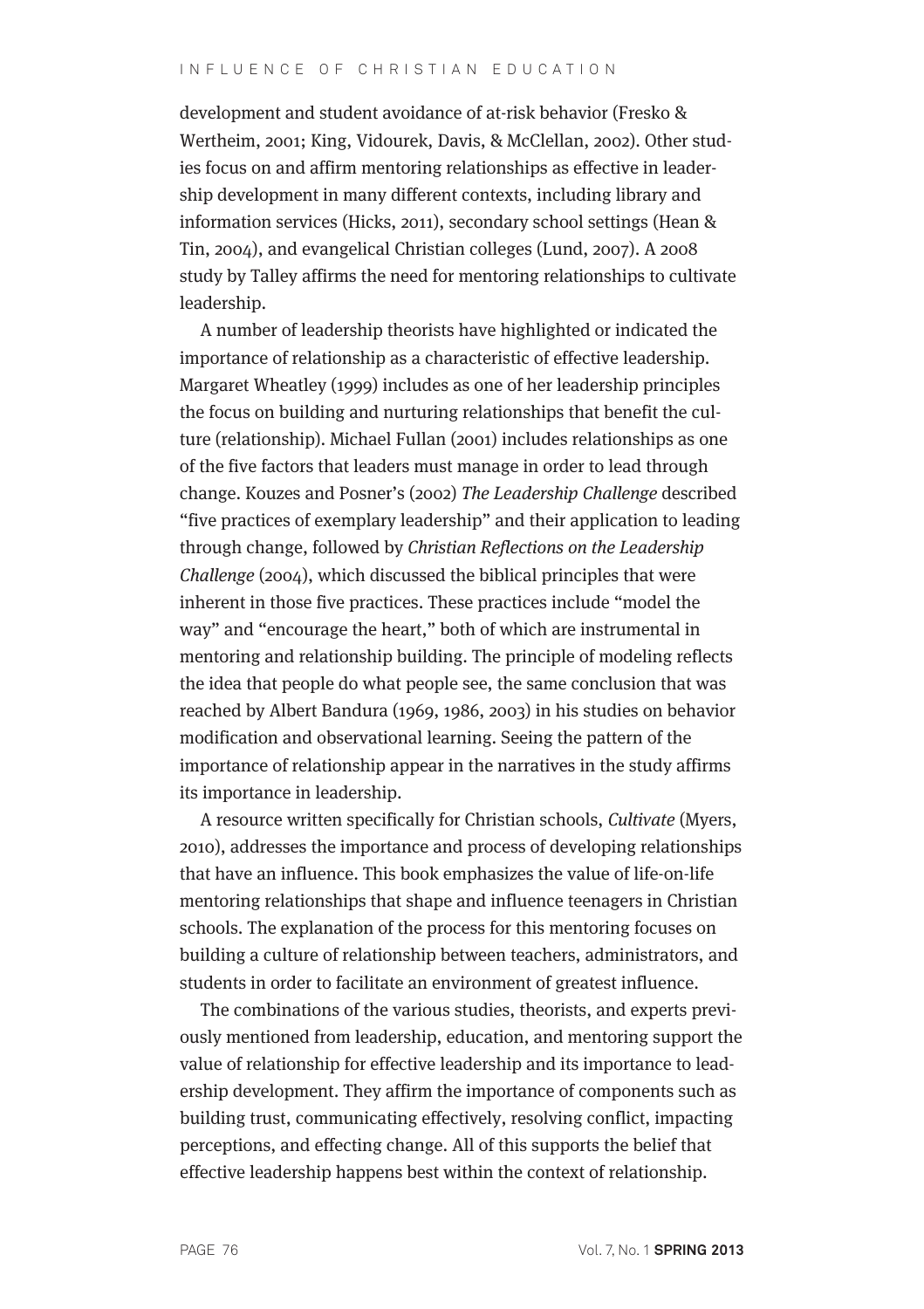#### IN FLUENCE OF CHRISTIAN EDUCATION

development and student avoidance of at-risk behavior (Fresko & Wertheim, 2001; King, Vidourek, Davis, & McClellan, 2002). Other studies focus on and affirm mentoring relationships as effective in leadership development in many different contexts, including library and information services (Hicks, 2011), secondary school settings (Hean & Tin, 2004), and evangelical Christian colleges (Lund, 2007). A 2008 study by Talley affirms the need for mentoring relationships to cultivate leadership.

A number of leadership theorists have highlighted or indicated the importance of relationship as a characteristic of effective leadership. Margaret Wheatley (1999) includes as one of her leadership principles the focus on building and nurturing relationships that benefit the culture (relationship). Michael Fullan (2001) includes relationships as one of the five factors that leaders must manage in order to lead through change. Kouzes and Posner's (2002) The Leadership Challenge described "five practices of exemplary leadership" and their application to leading through change, followed by Christian Reflections on the Leadership Challenge (2004), which discussed the biblical principles that were inherent in those five practices. These practices include "model the way" and "encourage the heart," both of which are instrumental in mentoring and relationship building. The principle of modeling reflects the idea that people do what people see, the same conclusion that was reached by Albert Bandura (1969, 1986, 2003) in his studies on behavior modification and observational learning. Seeing the pattern of the importance of relationship appear in the narratives in the study affirms its importance in leadership.

A resource written specifically for Christian schools, Cultivate (Myers, 2010), addresses the importance and process of developing relationships that have an influence. This book emphasizes the value of life-on-life mentoring relationships that shape and influence teenagers in Christian schools. The explanation of the process for this mentoring focuses on building a culture of relationship between teachers, administrators, and students in order to facilitate an environment of greatest influence.

The combinations of the various studies, theorists, and experts previously mentioned from leadership, education, and mentoring support the value of relationship for effective leadership and its importance to leadership development. They affirm the importance of components such as building trust, communicating effectively, resolving conflict, impacting perceptions, and effecting change. All of this supports the belief that effective leadership happens best within the context of relationship.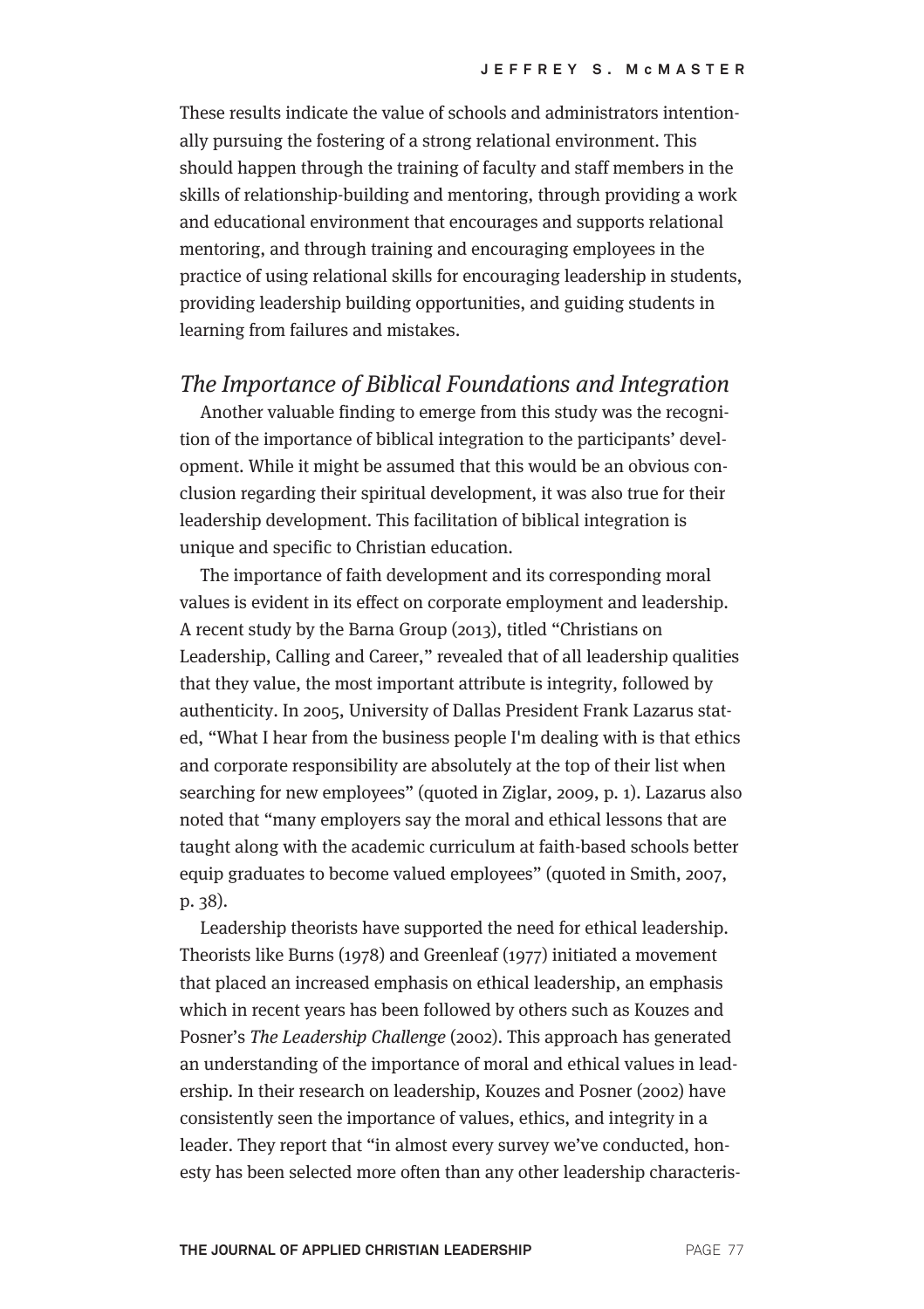These results indicate the value of schools and administrators intentionally pursuing the fostering of a strong relational environment. This should happen through the training of faculty and staff members in the skills of relationship-building and mentoring, through providing a work and educational environment that encourages and supports relational mentoring, and through training and encouraging employees in the practice of using relational skills for encouraging leadership in students, providing leadership building opportunities, and guiding students in learning from failures and mistakes.

#### The Importance of Biblical Foundations and Integration

Another valuable finding to emerge from this study was the recognition of the importance of biblical integration to the participants' development. While it might be assumed that this would be an obvious conclusion regarding their spiritual development, it was also true for their leadership development. This facilitation of biblical integration is unique and specific to Christian education.

The importance of faith development and its corresponding moral values is evident in its effect on corporate employment and leadership. A recent study by the Barna Group (2013), titled "Christians on Leadership, Calling and Career," revealed that of all leadership qualities that they value, the most important attribute is integrity, followed by authenticity. In 2005, University of Dallas President Frank Lazarus stated, "What I hear from the business people I'm dealing with is that ethics and corporate responsibility are absolutely at the top of their list when searching for new employees" (quoted in Ziglar, 2009, p. 1). Lazarus also noted that "many employers say the moral and ethical lessons that are taught along with the academic curriculum at faith-based schools better equip graduates to become valued employees" (quoted in Smith, 2007, p. 38).

Leadership theorists have supported the need for ethical leadership. Theorists like Burns (1978) and Greenleaf (1977) initiated a movement that placed an increased emphasis on ethical leadership, an emphasis which in recent years has been followed by others such as Kouzes and Posner's The Leadership Challenge (2002). This approach has generated an understanding of the importance of moral and ethical values in leadership. In their research on leadership, Kouzes and Posner (2002) have consistently seen the importance of values, ethics, and integrity in a leader. They report that "in almost every survey we've conducted, honesty has been selected more often than any other leadership characteris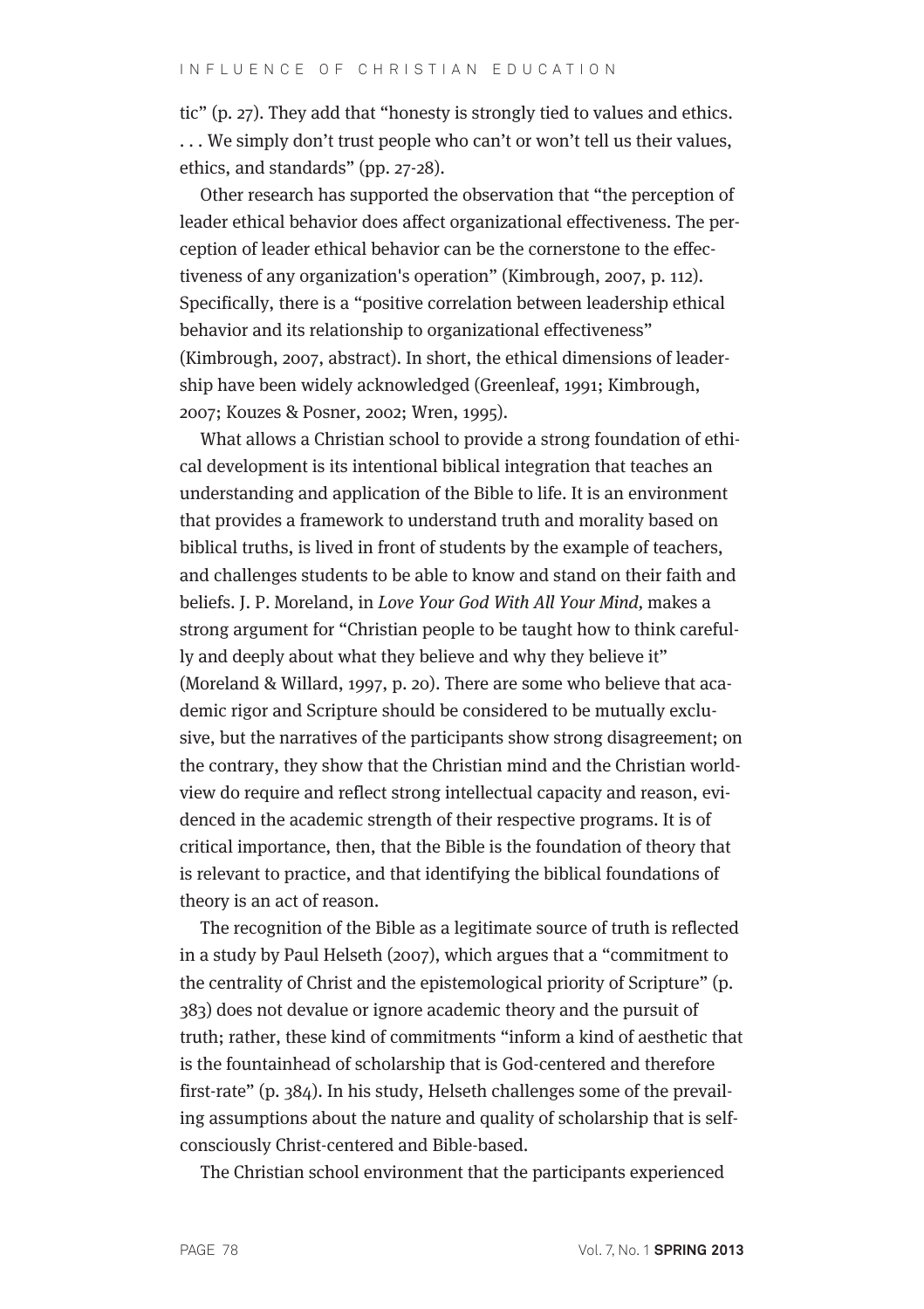tic" (p. 27). They add that "honesty is strongly tied to values and ethics. . . . We simply don't trust people who can't or won't tell us their values, ethics, and standards" (pp. 27-28).

Other research has supported the observation that "the perception of leader ethical behavior does affect organizational effectiveness. The perception of leader ethical behavior can be the cornerstone to the effectiveness of any organization's operation" (Kimbrough, 2007, p. 112). Specifically, there is a "positive correlation between leadership ethical behavior and its relationship to organizational effectiveness" (Kimbrough, 2007, abstract). In short, the ethical dimensions of leadership have been widely acknowledged (Greenleaf, 1991; Kimbrough, 2007; Kouzes & Posner, 2002; Wren, 1995).

What allows a Christian school to provide a strong foundation of ethical development is its intentional biblical integration that teaches an understanding and application of the Bible to life. It is an environment that provides a framework to understand truth and morality based on biblical truths, is lived in front of students by the example of teachers, and challenges students to be able to know and stand on their faith and beliefs. J. P. Moreland, in Love Your God With All Your Mind, makes a strong argument for "Christian people to be taught how to think carefully and deeply about what they believe and why they believe it" (Moreland & Willard, 1997, p. 20). There are some who believe that academic rigor and Scripture should be considered to be mutually exclusive, but the narratives of the participants show strong disagreement; on the contrary, they show that the Christian mind and the Christian worldview do require and reflect strong intellectual capacity and reason, evidenced in the academic strength of their respective programs. It is of critical importance, then, that the Bible is the foundation of theory that is relevant to practice, and that identifying the biblical foundations of theory is an act of reason.

The recognition of the Bible as a legitimate source of truth is reflected in a study by Paul Helseth (2007), which argues that a "commitment to the centrality of Christ and the epistemological priority of Scripture" (p. 383) does not devalue or ignore academic theory and the pursuit of truth; rather, these kind of commitments "inform a kind of aesthetic that is the fountainhead of scholarship that is God-centered and therefore first-rate" (p. 384). In his study, Helseth challenges some of the prevailing assumptions about the nature and quality of scholarship that is selfconsciously Christ-centered and Bible-based.

The Christian school environment that the participants experienced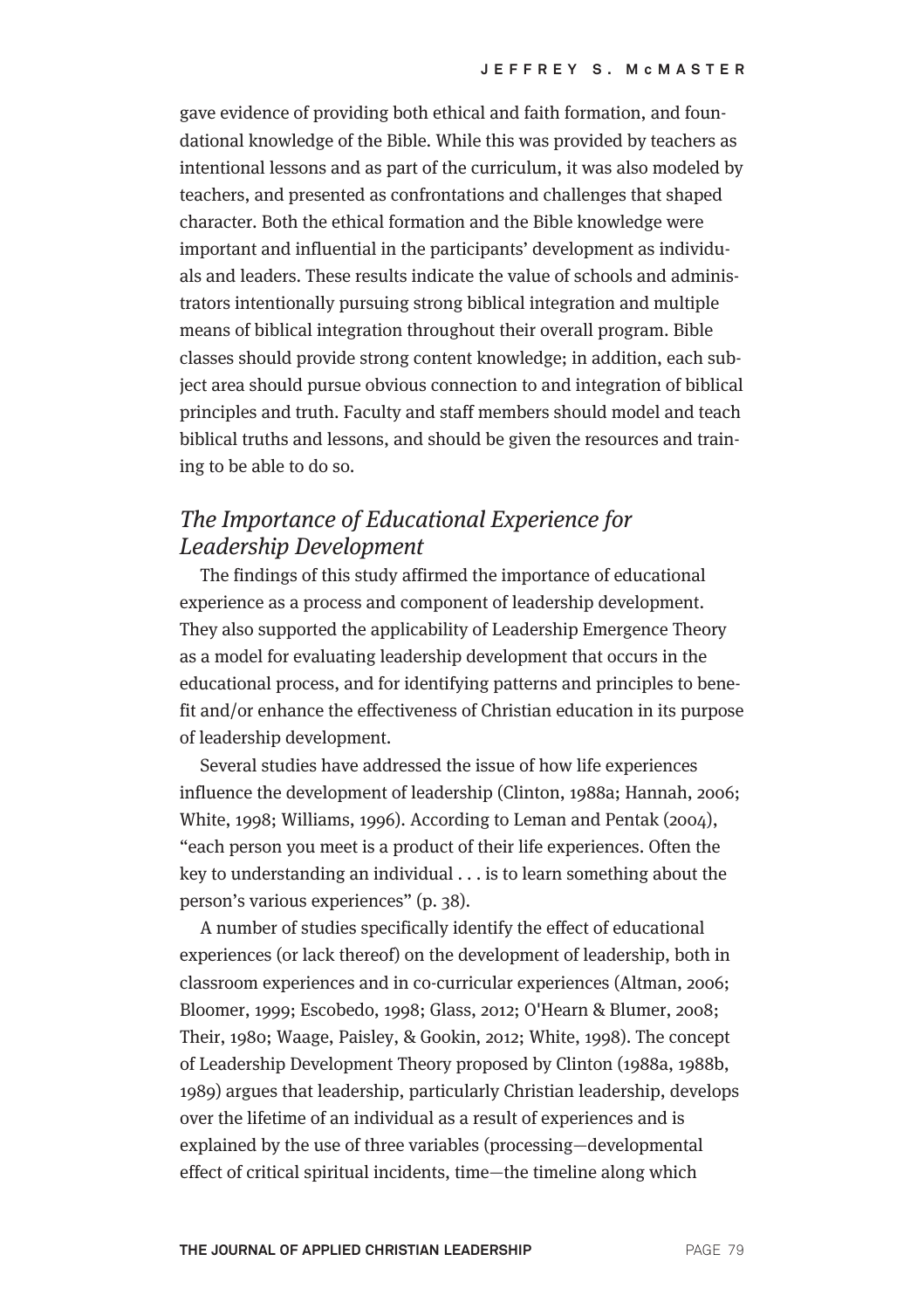gave evidence of providing both ethical and faith formation, and foundational knowledge of the Bible. While this was provided by teachers as intentional lessons and as part of the curriculum, it was also modeled by teachers, and presented as confrontations and challenges that shaped character. Both the ethical formation and the Bible knowledge were important and influential in the participants' development as individuals and leaders. These results indicate the value of schools and administrators intentionally pursuing strong biblical integration and multiple means of biblical integration throughout their overall program. Bible classes should provide strong content knowledge; in addition, each subject area should pursue obvious connection to and integration of biblical principles and truth. Faculty and staff members should model and teach biblical truths and lessons, and should be given the resources and training to be able to do so.

## The Importance of Educational Experience for Leadership Development

The findings of this study affirmed the importance of educational experience as a process and component of leadership development. They also supported the applicability of Leadership Emergence Theory as a model for evaluating leadership development that occurs in the educational process, and for identifying patterns and principles to benefit and/or enhance the effectiveness of Christian education in its purpose of leadership development.

Several studies have addressed the issue of how life experiences influence the development of leadership (Clinton, 1988a; Hannah, 2006; White, 1998; Williams, 1996). According to Leman and Pentak (2004), "each person you meet is a product of their life experiences. Often the key to understanding an individual . . . is to learn something about the person's various experiences" (p. 38).

A number of studies specifically identify the effect of educational experiences (or lack thereof) on the development of leadership, both in classroom experiences and in co-curricular experiences (Altman, 2006; Bloomer, 1999; Escobedo, 1998; Glass, 2012; O'Hearn & Blumer, 2008; Their, 1980; Waage, Paisley, & Gookin, 2012; White, 1998). The concept of Leadership Development Theory proposed by Clinton (1988a, 1988b, 1989) argues that leadership, particularly Christian leadership, develops over the lifetime of an individual as a result of experiences and is explained by the use of three variables (processing—developmental effect of critical spiritual incidents, time—the timeline along which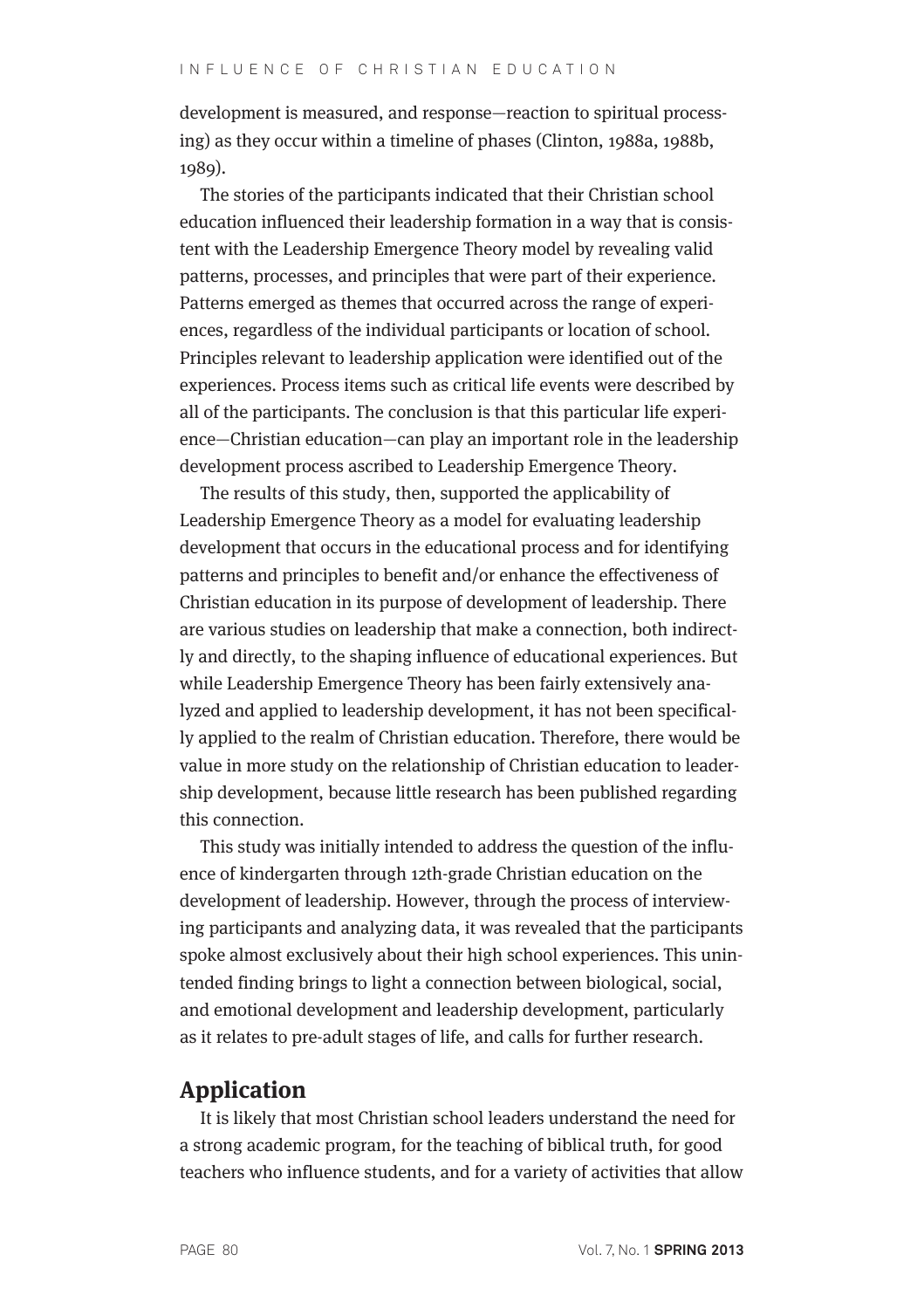development is measured, and response—reaction to spiritual processing) as they occur within a timeline of phases (Clinton, 1988a, 1988b, 1989).

The stories of the participants indicated that their Christian school education influenced their leadership formation in a way that is consistent with the Leadership Emergence Theory model by revealing valid patterns, processes, and principles that were part of their experience. Patterns emerged as themes that occurred across the range of experiences, regardless of the individual participants or location of school. Principles relevant to leadership application were identified out of the experiences. Process items such as critical life events were described by all of the participants. The conclusion is that this particular life experience—Christian education—can play an important role in the leadership development process ascribed to Leadership Emergence Theory.

The results of this study, then, supported the applicability of Leadership Emergence Theory as a model for evaluating leadership development that occurs in the educational process and for identifying patterns and principles to benefit and/or enhance the effectiveness of Christian education in its purpose of development of leadership. There are various studies on leadership that make a connection, both indirectly and directly, to the shaping influence of educational experiences. But while Leadership Emergence Theory has been fairly extensively analyzed and applied to leadership development, it has not been specifically applied to the realm of Christian education. Therefore, there would be value in more study on the relationship of Christian education to leadership development, because little research has been published regarding this connection.

This study was initially intended to address the question of the influence of kindergarten through 12th-grade Christian education on the development of leadership. However, through the process of interviewing participants and analyzing data, it was revealed that the participants spoke almost exclusively about their high school experiences. This unintended finding brings to light a connection between biological, social, and emotional development and leadership development, particularly as it relates to pre-adult stages of life, and calls for further research.

## **Application**

It is likely that most Christian school leaders understand the need for a strong academic program, for the teaching of biblical truth, for good teachers who influence students, and for a variety of activities that allow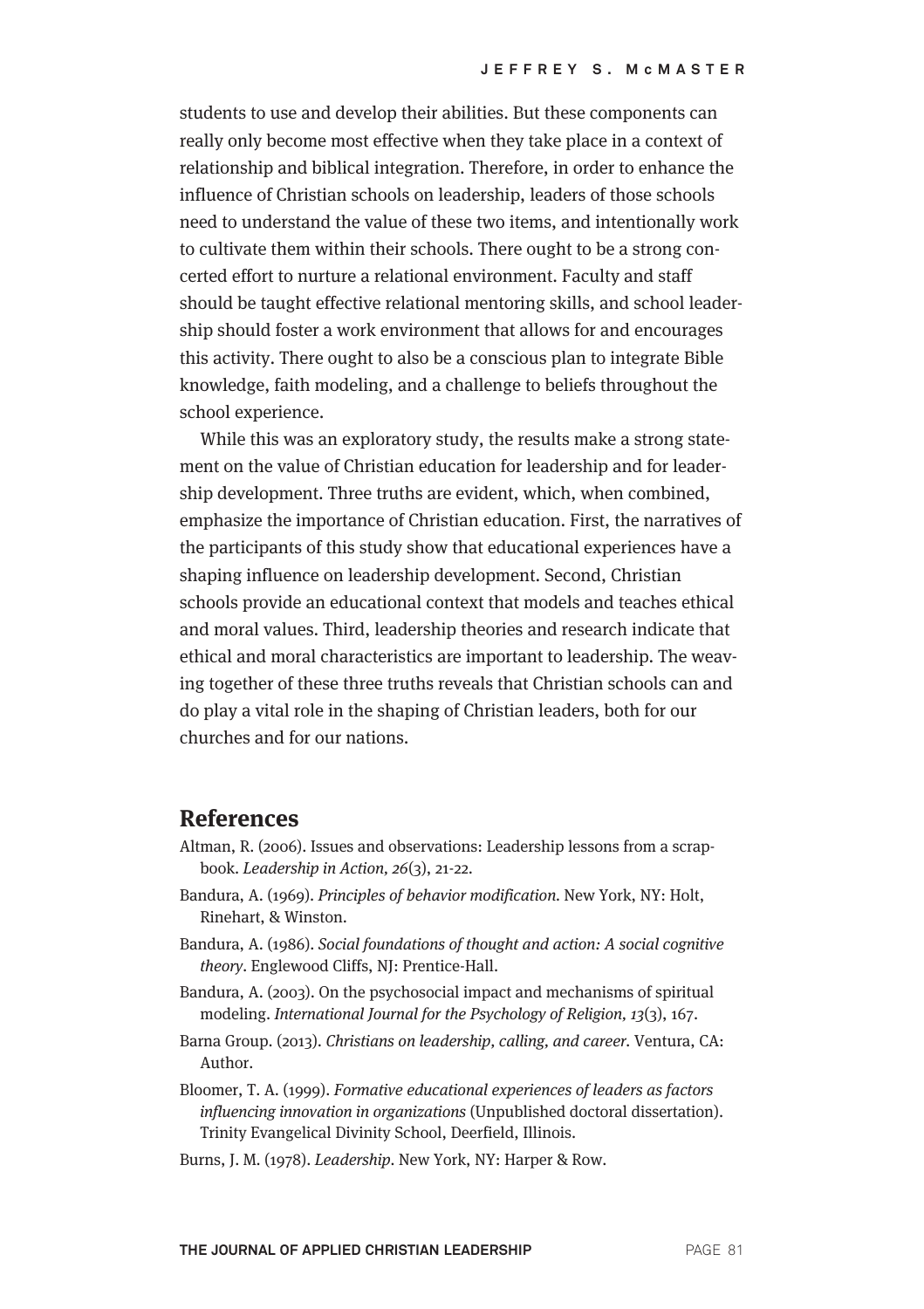students to use and develop their abilities. But these components can really only become most effective when they take place in a context of relationship and biblical integration. Therefore, in order to enhance the influence of Christian schools on leadership, leaders of those schools need to understand the value of these two items, and intentionally work to cultivate them within their schools. There ought to be a strong concerted effort to nurture a relational environment. Faculty and staff should be taught effective relational mentoring skills, and school leadership should foster a work environment that allows for and encourages this activity. There ought to also be a conscious plan to integrate Bible knowledge, faith modeling, and a challenge to beliefs throughout the school experience.

While this was an exploratory study, the results make a strong statement on the value of Christian education for leadership and for leadership development. Three truths are evident, which, when combined, emphasize the importance of Christian education. First, the narratives of the participants of this study show that educational experiences have a shaping influence on leadership development. Second, Christian schools provide an educational context that models and teaches ethical and moral values. Third, leadership theories and research indicate that ethical and moral characteristics are important to leadership. The weaving together of these three truths reveals that Christian schools can and do play a vital role in the shaping of Christian leaders, both for our churches and for our nations.

### **References**

- Altman, R. (2006). Issues and observations: Leadership lessons from a scrapbook. Leadership in Action, 26(3), 21-22.
- Bandura, A. (1969). Principles of behavior modification. New York, NY: Holt, Rinehart, & Winston.
- Bandura, A. (1986). Social foundations of thought and action: A social cognitive theory. Englewood Cliffs, NJ: Prentice-Hall.
- Bandura, A. (2003). On the psychosocial impact and mechanisms of spiritual modeling. International Journal for the Psychology of Religion, 13(3), 167.
- Barna Group. (2013). Christians on leadership, calling, and career. Ventura, CA: Author.
- Bloomer, T. A. (1999). Formative educational experiences of leaders as factors influencing innovation in organizations (Unpublished doctoral dissertation). Trinity Evangelical Divinity School, Deerfield, Illinois.
- Burns, J. M. (1978). Leadership. New York, NY: Harper & Row.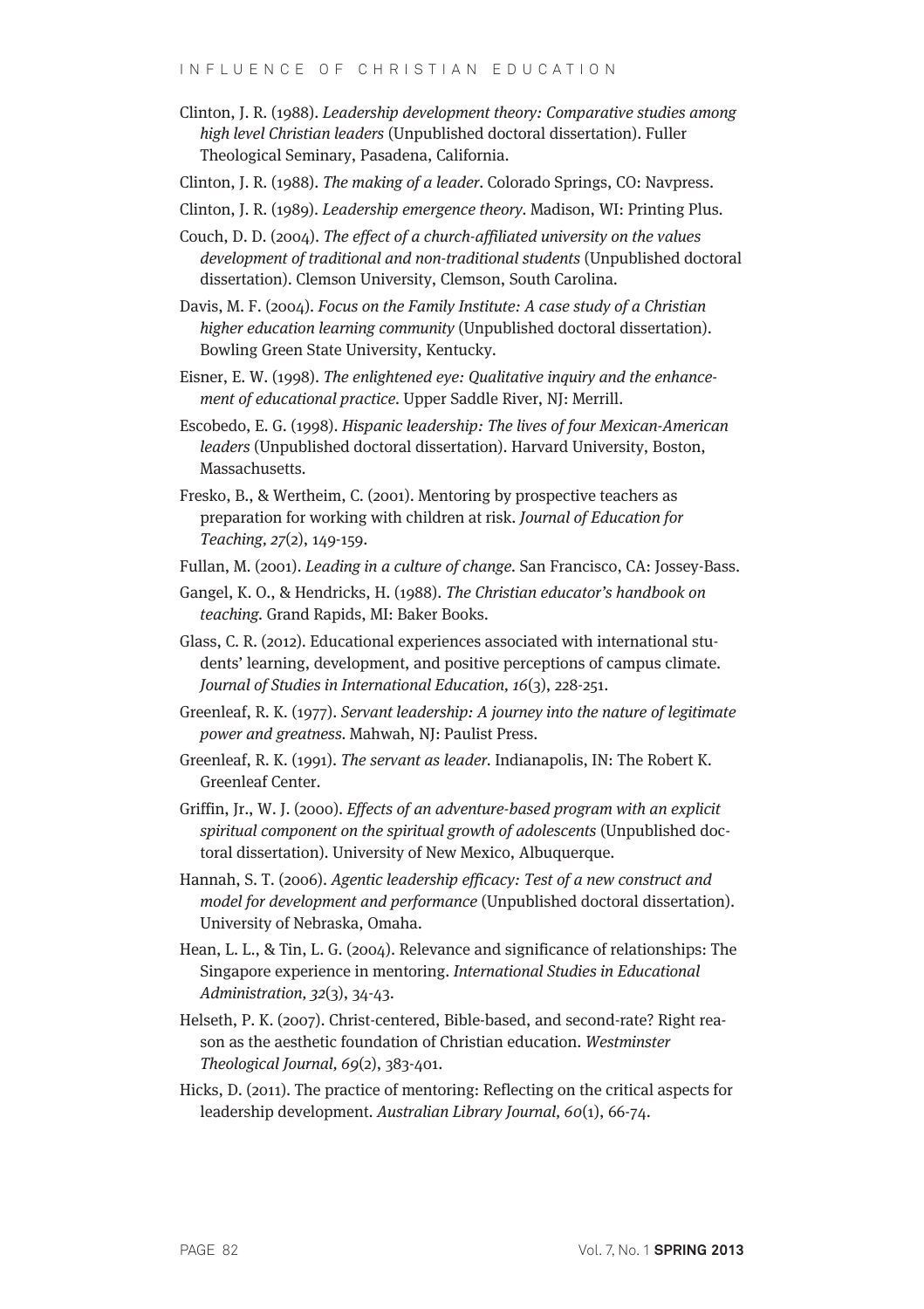- Clinton, J. R. (1988). Leadership development theory: Comparative studies among high level Christian leaders (Unpublished doctoral dissertation). Fuller Theological Seminary, Pasadena, California.
- Clinton, J. R. (1988). The making of a leader. Colorado Springs, CO: Navpress.
- Clinton, J. R. (1989). Leadership emergence theory. Madison, WI: Printing Plus.
- Couch, D. D. (2004). The effect of a church-affiliated university on the values development of traditional and non-traditional students (Unpublished doctoral dissertation). Clemson University, Clemson, South Carolina.
- Davis, M. F. (2004). Focus on the Family Institute: A case study of a Christian higher education learning community (Unpublished doctoral dissertation). Bowling Green State University, Kentucky.
- Eisner, E. W. (1998). The enlightened eye: Qualitative inquiry and the enhancement of educational practice. Upper Saddle River, NJ: Merrill.
- Escobedo, E. G. (1998). Hispanic leadership: The lives of four Mexican-American leaders (Unpublished doctoral dissertation). Harvard University, Boston, Massachusetts.
- Fresko, B., & Wertheim, C. (2001). Mentoring by prospective teachers as preparation for working with children at risk. Journal of Education for Teaching, 27(2), 149-159.
- Fullan, M. (2001). Leading in a culture of change. San Francisco, CA: Jossey-Bass.
- Gangel, K. O., & Hendricks, H. (1988). The Christian educator's handbook on teaching. Grand Rapids, MI: Baker Books.
- Glass, C. R. (2012). Educational experiences associated with international students' learning, development, and positive perceptions of campus climate. Journal of Studies in International Education, 16(3), 228-251.
- Greenleaf, R. K. (1977). Servant leadership: A journey into the nature of legitimate power and greatness. Mahwah, NJ: Paulist Press.
- Greenleaf, R. K. (1991). The servant as leader. Indianapolis, IN: The Robert K. Greenleaf Center.
- Griffin, Jr., W. J. (2000). Effects of an adventure-based program with an explicit spiritual component on the spiritual growth of adolescents (Unpublished doctoral dissertation). University of New Mexico, Albuquerque.
- Hannah, S. T. (2006). Agentic leadership efficacy: Test of a new construct and model for development and performance (Unpublished doctoral dissertation). University of Nebraska, Omaha.
- Hean, L. L., & Tin, L. G. (2004). Relevance and significance of relationships: The Singapore experience in mentoring. International Studies in Educational Administration, 32(3), 34-43.
- Helseth, P. K. (2007). Christ-centered, Bible-based, and second-rate? Right reason as the aesthetic foundation of Christian education. Westminster Theological Journal, 69(2), 383-401.
- Hicks, D. (2011). The practice of mentoring: Reflecting on the critical aspects for leadership development. Australian Library Journal, 60(1), 66-74.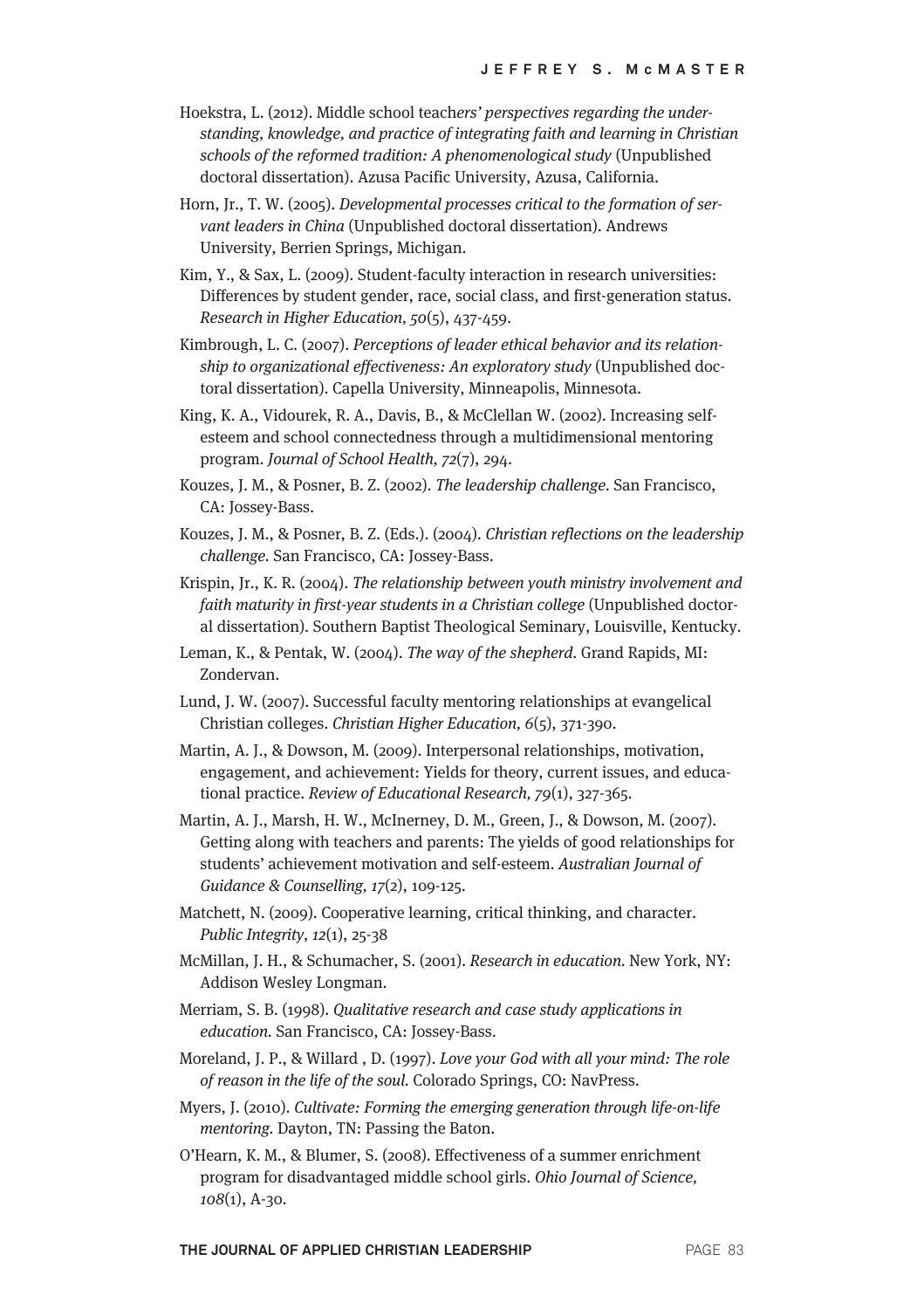- Hoekstra, L. (2012). Middle school teachers' perspectives regarding the understanding, knowledge, and practice of integrating faith and learning in Christian schools of the reformed tradition: A phenomenological study (Unpublished doctoral dissertation). Azusa Pacific University, Azusa, California.
- Horn, Jr., T. W. (2005). Developmental processes critical to the formation of servant leaders in China (Unpublished doctoral dissertation). Andrews University, Berrien Springs, Michigan.
- Kim, Y., & Sax, L. (2009). Student-faculty interaction in research universities: Differences by student gender, race, social class, and first-generation status. Research in Higher Education, 50(5), 437-459.
- Kimbrough, L. C. (2007). Perceptions of leader ethical behavior and its relationship to organizational effectiveness: An exploratory study (Unpublished doctoral dissertation). Capella University, Minneapolis, Minnesota.
- King, K. A., Vidourek, R. A., Davis, B., & McClellan W. (2002). Increasing selfesteem and school connectedness through a multidimensional mentoring program. Journal of School Health, 72(7), 294.
- Kouzes, J. M., & Posner, B. Z. (2002). The leadership challenge. San Francisco, CA: Jossey-Bass.
- Kouzes, J. M., & Posner, B. Z. (Eds.). (2004). Christian reflections on the leadership challenge. San Francisco, CA: Jossey-Bass.
- Krispin, Jr., K. R. (2004). The relationship between youth ministry involvement and faith maturity in first-year students in a Christian college (Unpublished doctoral dissertation). Southern Baptist Theological Seminary, Louisville, Kentucky.
- Leman, K., & Pentak, W. (2004). The way of the shepherd. Grand Rapids, MI: Zondervan.
- Lund, J. W. (2007). Successful faculty mentoring relationships at evangelical Christian colleges. Christian Higher Education, 6(5), 371-390.
- Martin, A. J., & Dowson, M. (2009). Interpersonal relationships, motivation, engagement, and achievement: Yields for theory, current issues, and educational practice. Review of Educational Research, 79(1), 327-365.
- Martin, A. J., Marsh, H. W., McInerney, D. M., Green, J., & Dowson, M. (2007). Getting along with teachers and parents: The yields of good relationships for students' achievement motivation and self-esteem. Australian Journal of Guidance & Counselling, 17(2), 109-125.
- Matchett, N. (2009). Cooperative learning, critical thinking, and character. Public Integrity, 12(1), 25-38
- McMillan, J. H., & Schumacher, S. (2001). Research in education. New York, NY: Addison Wesley Longman.
- Merriam, S. B. (1998). Qualitative research and case study applications in education. San Francisco, CA: Jossey-Bass.
- Moreland, J. P., & Willard , D. (1997). Love your God with all your mind: The role of reason in the life of the soul. Colorado Springs, CO: NavPress.
- Myers, J. (2010). Cultivate: Forming the emerging generation through life-on-life mentoring. Dayton, TN: Passing the Baton.
- O'Hearn, K. M., & Blumer, S. (2008). Effectiveness of a summer enrichment program for disadvantaged middle school girls. Ohio Journal of Science, 108(1), A-30.